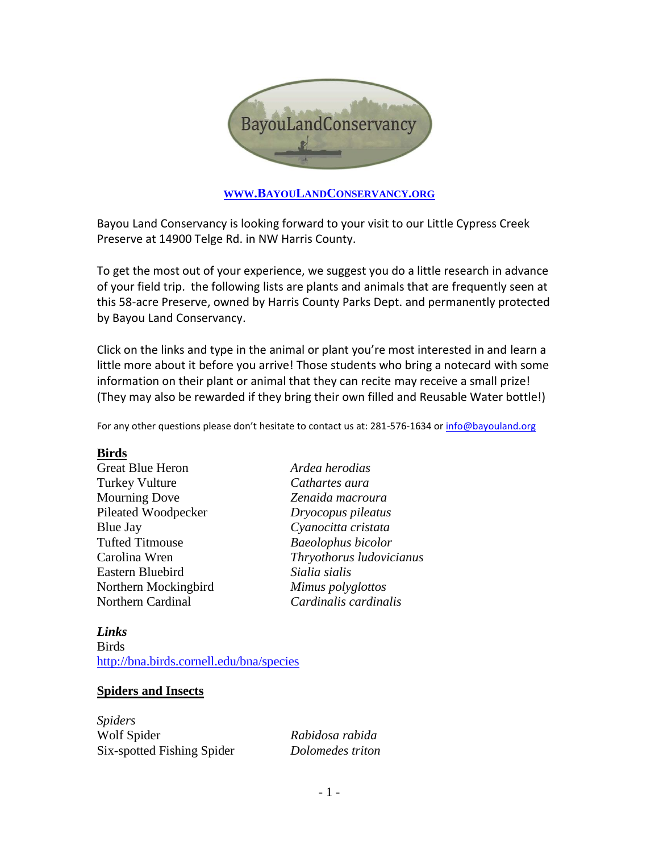

### **WWW.BAYOULANDC[ONSERVANCY](http://www.bayoulandconservancy.org/).ORG**

Bayou Land Conservancy is looking forward to your visit to our Little Cypress Creek Preserve at 14900 Telge Rd. in NW Harris County.

To get the most out of your experience, we suggest you do a little research in advance of your field trip. the following lists are plants and animals that are frequently seen at this 58-acre Preserve, owned by Harris County Parks Dept. and permanently protected by Bayou Land Conservancy.

Click on the links and type in the animal or plant you're most interested in and learn a little more about it before you arrive! Those students who bring a notecard with some information on their plant or animal that they can recite may receive a small prize! (They may also be rewarded if they bring their own filled and Reusable Water bottle!)

For any other questions please don't hesitate to contact us at: 281-576-1634 o[r info@bayouland.org](mailto:info@bayouland.org)

### **Birds**

| <b>Great Blue Heron</b> |
|-------------------------|
| <b>Turkey Vulture</b>   |
| <b>Mourning Dove</b>    |
| Pileated Woodpecker     |
| <b>Blue Jay</b>         |
| <b>Tufted Titmouse</b>  |
| Carolina Wren           |
| Eastern Bluebird        |
| Northern Mockingbird    |
| Northern Cardinal       |

Ardea herodias Cathartes aura Mourning Dove *Zenaida macroura* Pileated Woodpecker *Dryocopus pileatus* Blue Jay *Cyanocitta cristata* Baeolophus bicolor Carolina Wren *Thryothorus ludovicianus* Eastern Bluebird *Sialia sialis* Mimus polyglottos Northern Cardinal *Cardinalis cardinalis*

### *Links* Birds <http://bna.birds.cornell.edu/bna/species>

# **Spiders and Insects**

*Spiders* Wolf Spider *Rabidosa rabida* Six-spotted Fishing Spider *Dolomedes triton*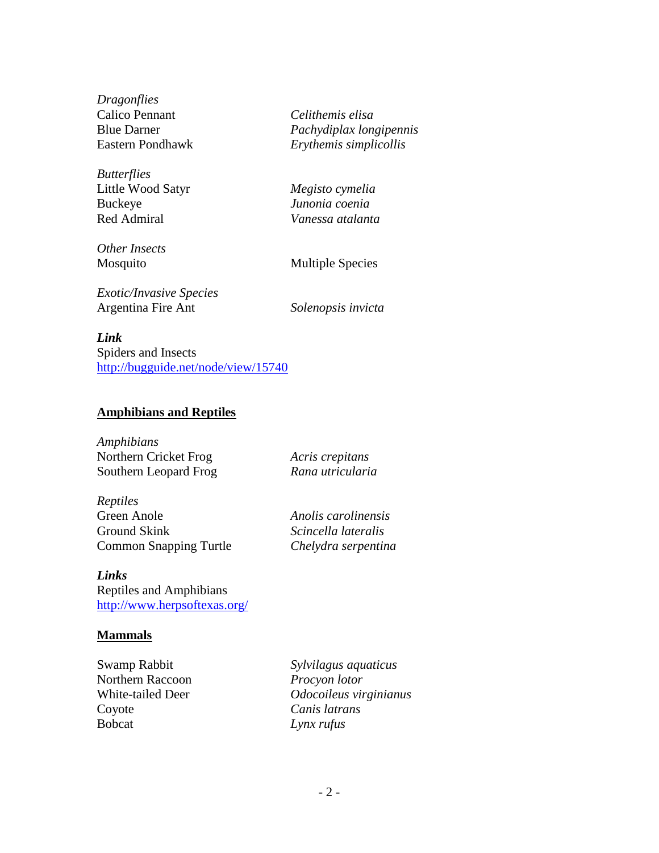*Dragonflies* Calico Pennant *Celithemis elisa*

*Butterflies* Little Wood Satyr *Megisto cymelia* Buckeye *Junonia coenia* Red Admiral *Vanessa atalanta*

*Other Insects*

Blue Darner *Pachydiplax longipennis* Eastern Pondhawk *Erythemis simplicollis*

Mosquito Multiple Species

*Exotic/Invasive Species* Argentina Fire Ant *Solenopsis invicta*

*Link*

Spiders and Insects <http://bugguide.net/node/view/15740>

### **Amphibians and Reptiles**

*Amphibians* Northern Cricket Frog *Acris crepitans* Southern Leopard Frog *Rana utricularia*

*Reptiles* Green Anole *Anolis carolinensis* Ground Skink *Scincella lateralis* Common Snapping Turtle *Chelydra serpentina*

*Links* Reptiles and Amphibians <http://www.herpsoftexas.org/>

### **Mammals**

Northern Raccoon *Procyon lotor* Coyote *Canis latrans* Bobcat *Lynx rufus*

Swamp Rabbit *Sylvilagus aquaticus* White-tailed Deer *Odocoileus virginianus*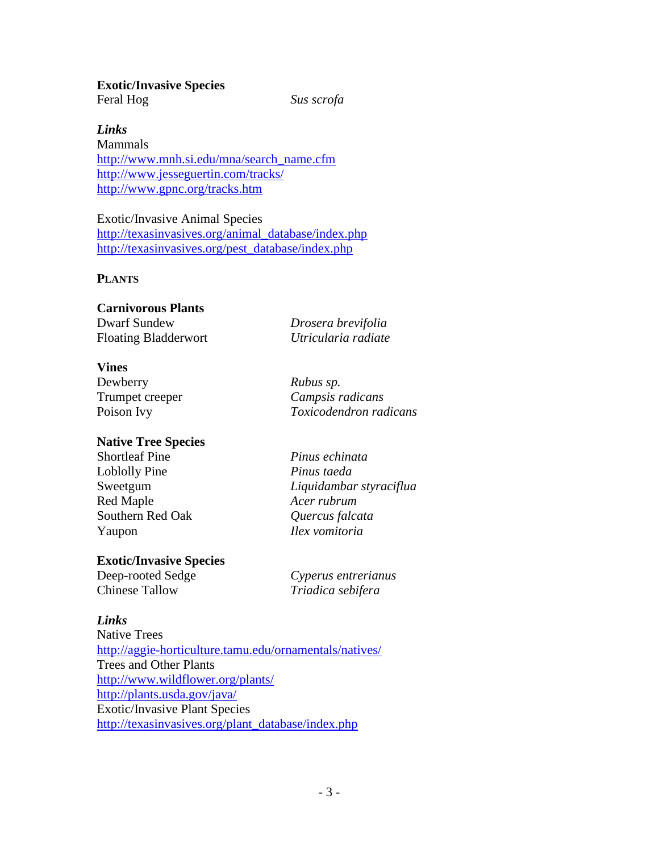# **Exotic/Invasive Species**

Feral Hog *Sus scrofa*

*Links*

Mammals [http://www.mnh.si.edu/mna/search\\_name.cfm](http://www.mnh.si.edu/mna/search_name.cfm) <http://www.jesseguertin.com/tracks/> <http://www.gpnc.org/tracks.htm>

Exotic/Invasive Animal Species [http://texasinvasives.org/animal\\_database/index.php](http://texasinvasives.org/animal_database/index.php) [http://texasinvasives.org/pest\\_database/index.php](http://texasinvasives.org/pest_database/index.php)

# **PLANTS**

| <b>Carnivorous Plants</b>   |                     |
|-----------------------------|---------------------|
| Dwarf Sundew                | Drosera brevifolia  |
| <b>Floating Bladderwort</b> | Utricularia radiate |

### **Vines**

Dewberry *Rubus sp.* Trumpet creeper *Campsis radicans* Poison Ivy *Toxicodendron radicans*

# **Native Tree Species**

Shortleaf Pine *Pinus echinata* Loblolly Pine *Pinus taeda* Red Maple *Acer rubrum* Southern Red Oak *Quercus falcata* Yaupon *Ilex vomitoria*

**Exotic/Invasive Species**

Chinese Tallow *Triadica sebifera*

Sweetgum *Liquidambar styraciflua*

Deep-rooted Sedge *Cyperus entrerianus*

# *Links*

Native Trees <http://aggie-horticulture.tamu.edu/ornamentals/natives/> Trees and Other Plants <http://www.wildflower.org/plants/> <http://plants.usda.gov/java/> Exotic/Invasive Plant Species [http://texasinvasives.org/plant\\_database/index.php](http://texasinvasives.org/plant_database/index.php)